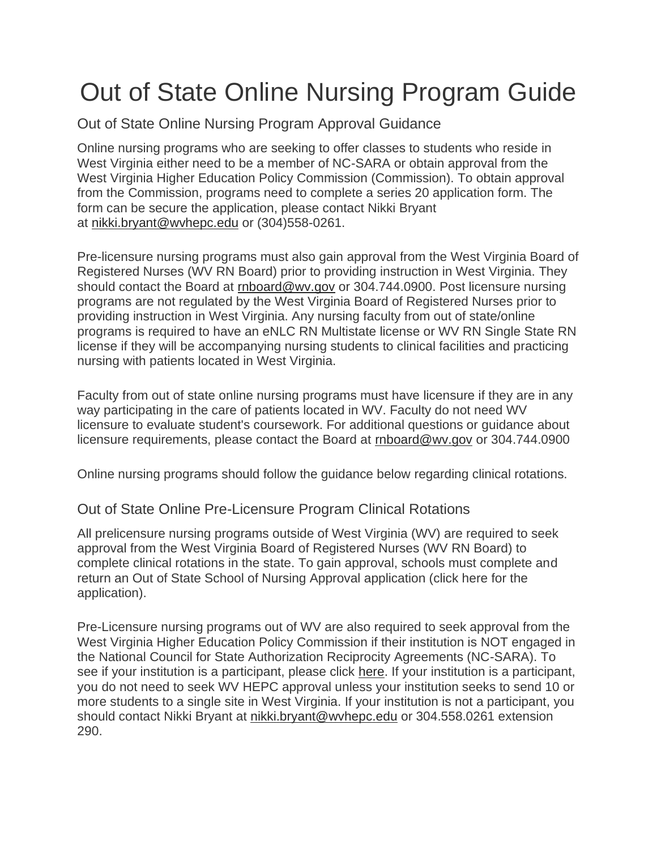## Out of State Online Nursing Program Guide

Out of State Online Nursing Program Approval Guidance

Online nursing programs who are seeking to offer classes to students who reside in West Virginia either need to be a member of NC-SARA or obtain approval from the West Virginia Higher Education Policy Commission (Commission). To obtain approval from the Commission, programs need to complete a series 20 application form. The form can be secure the application, please contact Nikki Bryant at [nikki.bryant@wvhepc.edu](mailto:keri.ferro@wvhepc.edu) or (304)558-0261.

Pre-licensure nursing programs must also gain approval from the West Virginia Board of Registered Nurses (WV RN Board) prior to providing instruction in West Virginia. They should contact the Board at [rnboard@wv.gov](mailto:rnboard@wv.gov) or 304.744.0900. Post licensure nursing programs are not regulated by the West Virginia Board of Registered Nurses prior to providing instruction in West Virginia. Any nursing faculty from out of state/online programs is required to have an eNLC RN Multistate license or WV RN Single State RN license if they will be accompanying nursing students to clinical facilities and practicing nursing with patients located in West Virginia.

Faculty from out of state online nursing programs must have licensure if they are in any way participating in the care of patients located in WV. Faculty do not need WV licensure to evaluate student's coursework. For additional questions or guidance about licensure requirements, please contact the Board at [rnboard@wv.gov](mailto:rnboard@wv.gov) or 304.744.0900

Online nursing programs should follow the guidance below regarding clinical rotations.

## Out of State Online Pre-Licensure Program Clinical Rotations

All prelicensure nursing programs outside of West Virginia (WV) are required to seek approval from the West Virginia Board of Registered Nurses (WV RN Board) to complete clinical rotations in the state. To gain approval, schools must complete and return an Out of State School of Nursing Approval application (click here for the application).

Pre-Licensure nursing programs out of WV are also required to seek approval from the West Virginia Higher Education Policy Commission if their institution is NOT engaged in the National Council for State Authorization Reciprocity Agreements (NC-SARA). To see if your institution is a participant, please click [here.](https://nc-sara.org/directory) If your institution is a participant, you do not need to seek WV HEPC approval unless your institution seeks to send 10 or more students to a single site in West Virginia. If your institution is not a participant, you should contact Nikki Bryant at [nikki.bryant@wvhepc.edu](mailto:nikki.bryant@wvhepc.edu) or 304.558.0261 extension 290.